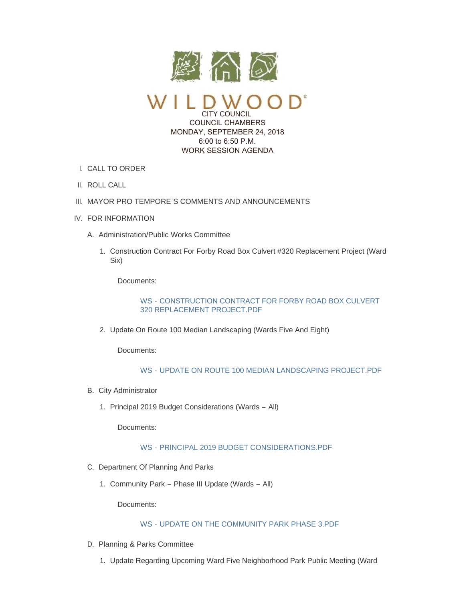

CITY COUNCIL COUNCIL CHAMBERS MONDAY, SEPTEMBER 24, 2018 6:00 to 6:50 P.M. WORK SESSION AGENDA

- CALL TO ORDER I.
- II. ROLL CALL
- III. MAYOR PRO TEMPORE'S COMMENTS AND ANNOUNCEMENTS
- IV. FOR INFORMATION
	- A. Administration/Public Works Committee
		- 1. Construction Contract For Forby Road Box Culvert #320 Replacement Project (Ward Six)

Documents:

WS - [CONSTRUCTION CONTRACT FOR FORBY ROAD BOX CULVERT](https://www.cityofwildwood.com/AgendaCenter/ViewFile/Item/17195?fileID=24393)  320 REPLACEMENT PROJECT.PDF

2. Update On Route 100 Median Landscaping (Wards Five And Eight)

Documents:

# WS - [UPDATE ON ROUTE 100 MEDIAN LANDSCAPING PROJECT.PDF](https://www.cityofwildwood.com/AgendaCenter/ViewFile/Item/17196?fileID=24394)

- B. City Administrator
	- 1. Principal 2019 Budget Considerations (Wards All)

Documents:

# WS - [PRINCIPAL 2019 BUDGET CONSIDERATIONS.PDF](https://www.cityofwildwood.com/AgendaCenter/ViewFile/Item/17253?fileID=24411)

- C. Department Of Planning And Parks
	- 1. Community Park Phase III Update (Wards All)

Documents:

#### WS - [UPDATE ON THE COMMUNITY PARK PHASE 3.PDF](https://www.cityofwildwood.com/AgendaCenter/ViewFile/Item/17200?fileID=24417)

- D. Planning & Parks Committee
	- 1. Update Regarding Upcoming Ward Five Neighborhood Park Public Meeting (Ward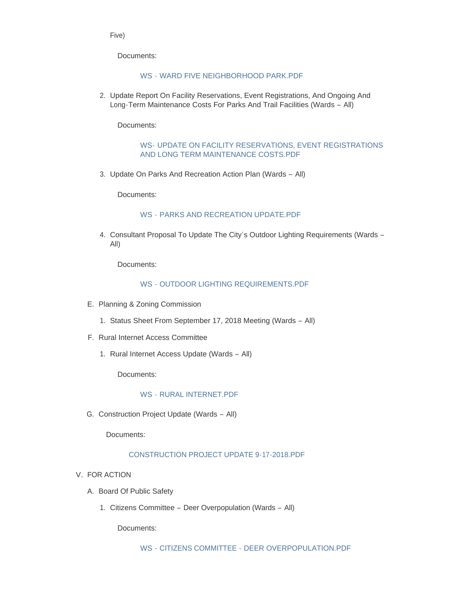Five)

Documents:

### WS - [WARD FIVE NEIGHBORHOOD PARK.PDF](https://www.cityofwildwood.com/AgendaCenter/ViewFile/Item/17249?fileID=24418)

2. Update Report On Facility Reservations, Event Registrations, And Ongoing And Long-Term Maintenance Costs For Parks And Trail Facilities (Wards – All)

Documents:

## WS- [UPDATE ON FACILITY RESERVATIONS, EVENT REGISTRATIONS](https://www.cityofwildwood.com/AgendaCenter/ViewFile/Item/17203?fileID=24419)  AND LONG TERM MAINTENANCE COSTS.PDF

3. Update On Parks And Recreation Action Plan (Wards - All)

Documents:

#### WS - [PARKS AND RECREATION UPDATE.PDF](https://www.cityofwildwood.com/AgendaCenter/ViewFile/Item/17204?fileID=24420)

4. Consultant Proposal To Update The City's Outdoor Lighting Requirements (Wards -All)

Documents:

# WS - [OUTDOOR LIGHTING REQUIREMENTS.PDF](https://www.cityofwildwood.com/AgendaCenter/ViewFile/Item/17205?fileID=24421)

- E. Planning & Zoning Commission
	- 1. Status Sheet From September 17, 2018 Meeting (Wards All)
- F. Rural Internet Access Committee
	- 1. Rural Internet Access Update (Wards All)

Documents:

# WS - [RURAL INTERNET.PDF](https://www.cityofwildwood.com/AgendaCenter/ViewFile/Item/17209?fileID=24422)

G. Construction Project Update (Wards - All)

Documents:

# [CONSTRUCTION PROJECT UPDATE 9-17-2018.PDF](https://www.cityofwildwood.com/AgendaCenter/ViewFile/Item/17254?fileID=24412)

- V. FOR ACTION
	- A. Board Of Public Safety
		- 1. Citizens Committee Deer Overpopulation (Wards All)

Documents: